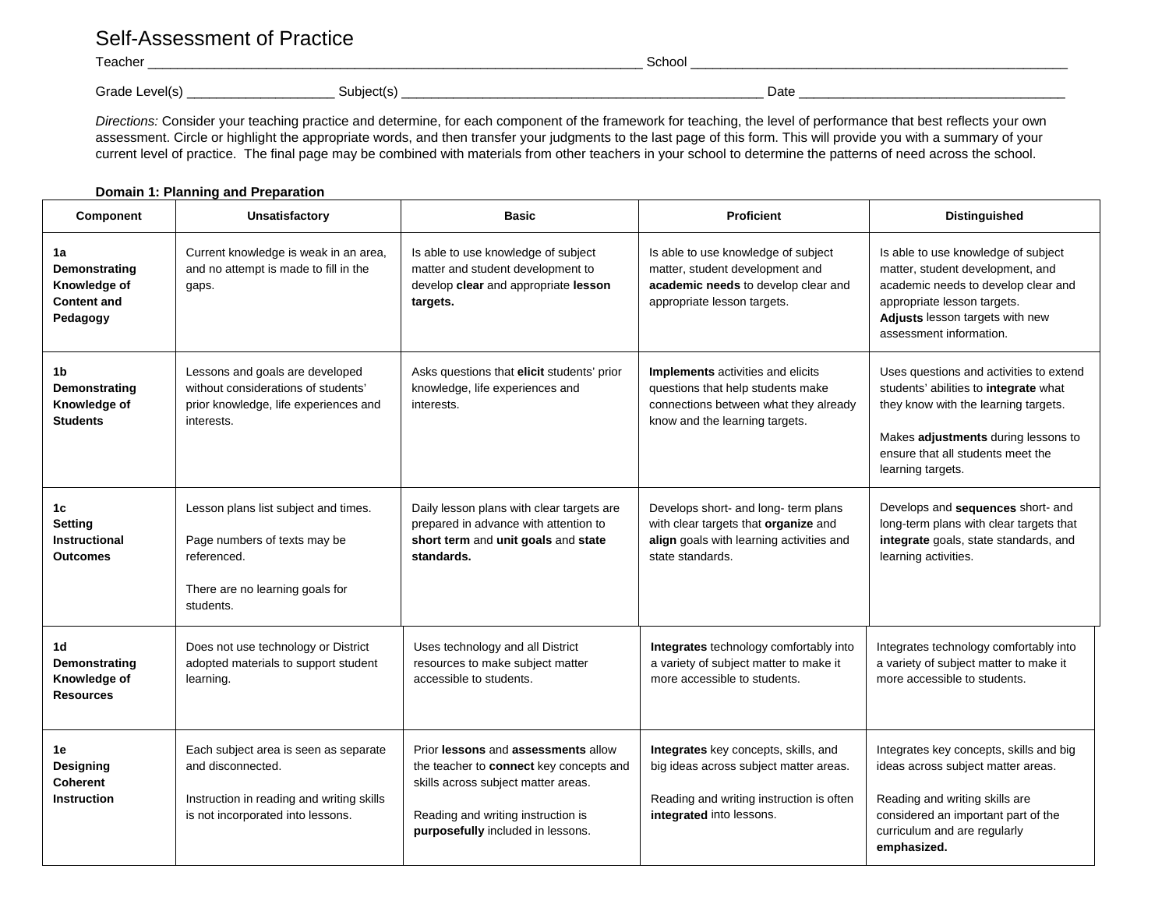# Self-Assessment of Practice

| Teacher          |                                          | School |  |  |
|------------------|------------------------------------------|--------|--|--|
| Grade<br>evel(s, | $\sim$ $\sim$ $\sim$<br><b>SUDIECTIS</b> | Date   |  |  |

*Directions:* Consider your teaching practice and determine, for each component of the framework for teaching, the level of performance that best reflects your own assessment. Circle or highlight the appropriate words, and then transfer your judgments to the last page of this form. This will provide you with a summary of your current level of practice. The final page may be combined with materials from other teachers in your school to determine the patterns of need across the school.

## **Domain 1: Planning and Preparation**

| Component                                                                   | <b>Unsatisfactory</b>                                                                                                                        | <b>Basic</b>                                                                                                                                                                                     | <b>Proficient</b>                                                                                                                                      | <b>Distinguished</b>                                                                                                                                                                                                      |
|-----------------------------------------------------------------------------|----------------------------------------------------------------------------------------------------------------------------------------------|--------------------------------------------------------------------------------------------------------------------------------------------------------------------------------------------------|--------------------------------------------------------------------------------------------------------------------------------------------------------|---------------------------------------------------------------------------------------------------------------------------------------------------------------------------------------------------------------------------|
| 1a<br>Demonstrating<br>Knowledge of<br><b>Content and</b><br>Pedagogy       | Current knowledge is weak in an area,<br>and no attempt is made to fill in the<br>gaps.                                                      | Is able to use knowledge of subject<br>matter and student development to<br>develop clear and appropriate lesson<br>targets.                                                                     | Is able to use knowledge of subject<br>matter, student development and<br>academic needs to develop clear and<br>appropriate lesson targets.           | Is able to use knowledge of subject<br>matter, student development, and<br>academic needs to develop clear and<br>appropriate lesson targets.<br>Adjusts lesson targets with new<br>assessment information.               |
| 1b<br>Demonstrating<br>Knowledge of<br><b>Students</b>                      | Lessons and goals are developed<br>without considerations of students'<br>prior knowledge, life experiences and<br>interests.                | Asks questions that elicit students' prior<br>knowledge, life experiences and<br>interests.                                                                                                      | Implements activities and elicits<br>questions that help students make<br>connections between what they already<br>know and the learning targets.      | Uses questions and activities to extend<br>students' abilities to integrate what<br>they know with the learning targets.<br>Makes adjustments during lessons to<br>ensure that all students meet the<br>learning targets. |
| 1 <sub>c</sub><br><b>Setting</b><br><b>Instructional</b><br><b>Outcomes</b> | Lesson plans list subject and times.<br>Page numbers of texts may be<br>referenced.<br>There are no learning goals for<br>students.          | Daily lesson plans with clear targets are<br>prepared in advance with attention to<br>short term and unit goals and state<br>standards.                                                          | Develops short- and long- term plans<br>with clear targets that organize and<br>align goals with learning activities and<br>state standards.           | Develops and sequences short- and<br>long-term plans with clear targets that<br>integrate goals, state standards, and<br>learning activities.                                                                             |
| 1d<br>Demonstrating<br>Knowledge of<br><b>Resources</b>                     | Does not use technology or District<br>adopted materials to support student<br>learning.                                                     | Uses technology and all District<br>resources to make subject matter<br>accessible to students.                                                                                                  | Integrates technology comfortably into<br>a variety of subject matter to make it<br>more accessible to students.                                       | Integrates technology comfortably into<br>a variety of subject matter to make it<br>more accessible to students.                                                                                                          |
| 1е<br><b>Designing</b><br><b>Coherent</b><br><b>Instruction</b>             | Each subject area is seen as separate<br>and disconnected.<br>Instruction in reading and writing skills<br>is not incorporated into lessons. | Prior lessons and assessments allow<br>the teacher to connect key concepts and<br>skills across subject matter areas.<br>Reading and writing instruction is<br>purposefully included in lessons. | Integrates key concepts, skills, and<br>big ideas across subject matter areas.<br>Reading and writing instruction is often<br>integrated into lessons. | Integrates key concepts, skills and big<br>ideas across subject matter areas.<br>Reading and writing skills are<br>considered an important part of the<br>curriculum and are regularly<br>emphasized.                     |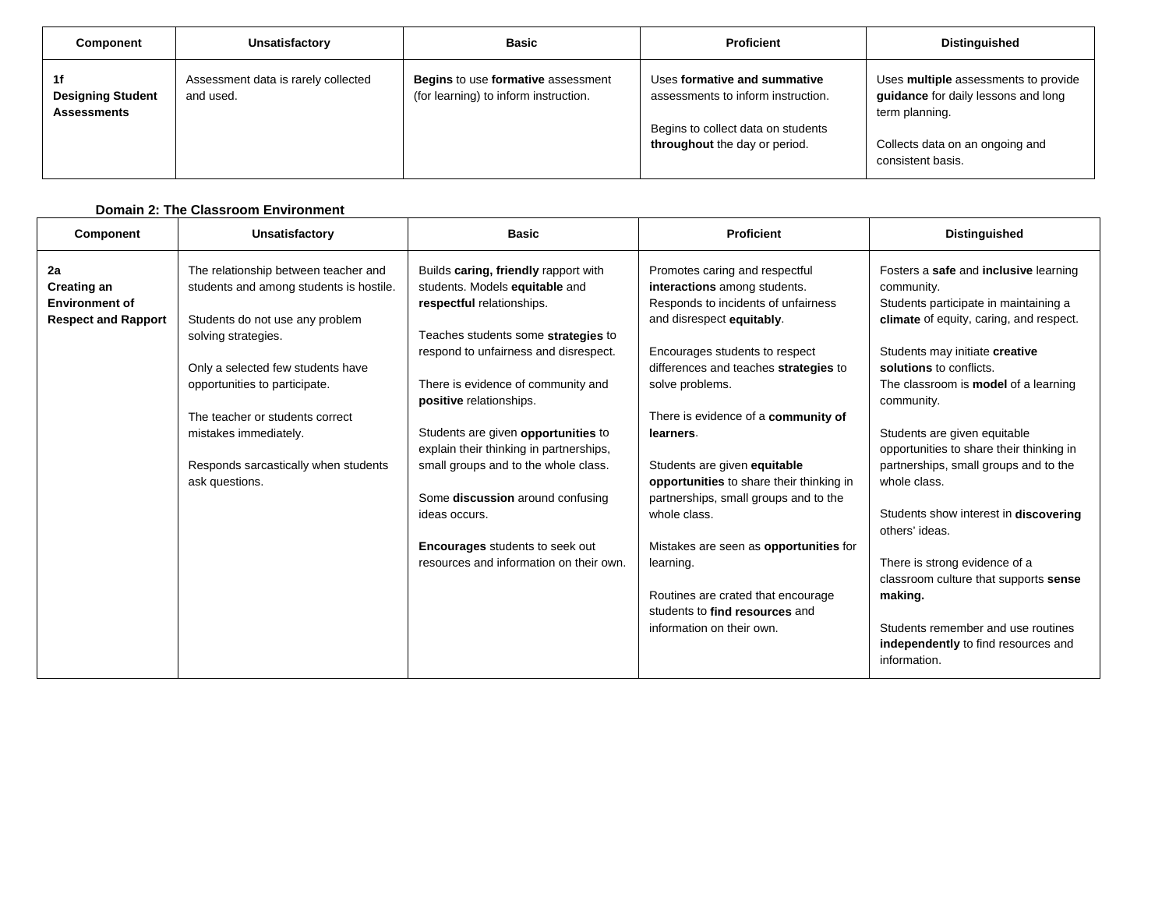| Component                                      | Unsatisfactory                                   | <b>Basic</b>                                                                | <b>Proficient</b>                                                                                                                         | <b>Distinguished</b>                                                                                                                                  |
|------------------------------------------------|--------------------------------------------------|-----------------------------------------------------------------------------|-------------------------------------------------------------------------------------------------------------------------------------------|-------------------------------------------------------------------------------------------------------------------------------------------------------|
| <b>Designing Student</b><br><b>Assessments</b> | Assessment data is rarely collected<br>and used. | Begins to use formative assessment<br>(for learning) to inform instruction. | Uses formative and summative<br>assessments to inform instruction.<br>Begins to collect data on students<br>throughout the day or period. | Uses multiple assessments to provide<br>quidance for daily lessons and long<br>term planning.<br>Collects data on an ongoing and<br>consistent basis. |

#### **Component Unsatisfactory Basic Proficient Distinguished 2a Creating an Environment of Respect and Rapport**  The relationship between teacher and students and among students is hostile. Students do not use any problem solving strategies. Only a selected few students have opportunities to participate. The teacher or students correct mistakes immediately. Responds sarcastically when students ask questions. Builds **caring, friendly** rapport with students. Models **equitable** and **respectful** relationships. Teaches students some **strategies** to respond to unfairness and disrespect. There is evidence of community and **positive** relationships. Students are given **opportunities** to explain their thinking in partnerships, small groups and to the whole class. Some **discussion** around confusing ideas occurs. **Encourages** students to seek out resources and information on their own. Promotes caring and respectful **interactions** among students. Responds to incidents of unfairness and disrespect **equitably**. Encourages students to respect differences and teaches **strategies** to solve problems. There is evidence of a **community of learners**. Students are given **equitable opportunities** to share their thinking in partnerships, small groups and to the whole class. Mistakes are seen as **opportunities** for learning. Routines are crated that encourage students to **find resources** and information on their own. Fosters a **safe** and **inclusive** learning community. Students participate in maintaining a **climate** of equity, caring, and respect. Students may initiate **creative solutions** to conflicts. The classroom is **model** of a learning community. Students are given equitable opportunities to share their thinking in partnerships, small groups and to the whole class. Students show interest in **discovering**  others' ideas. There is strong evidence of a classroom culture that supports **sense making.**  Students remember and use routines **independently** to find resources and information.

#### **Domain 2: The Classroom Environment**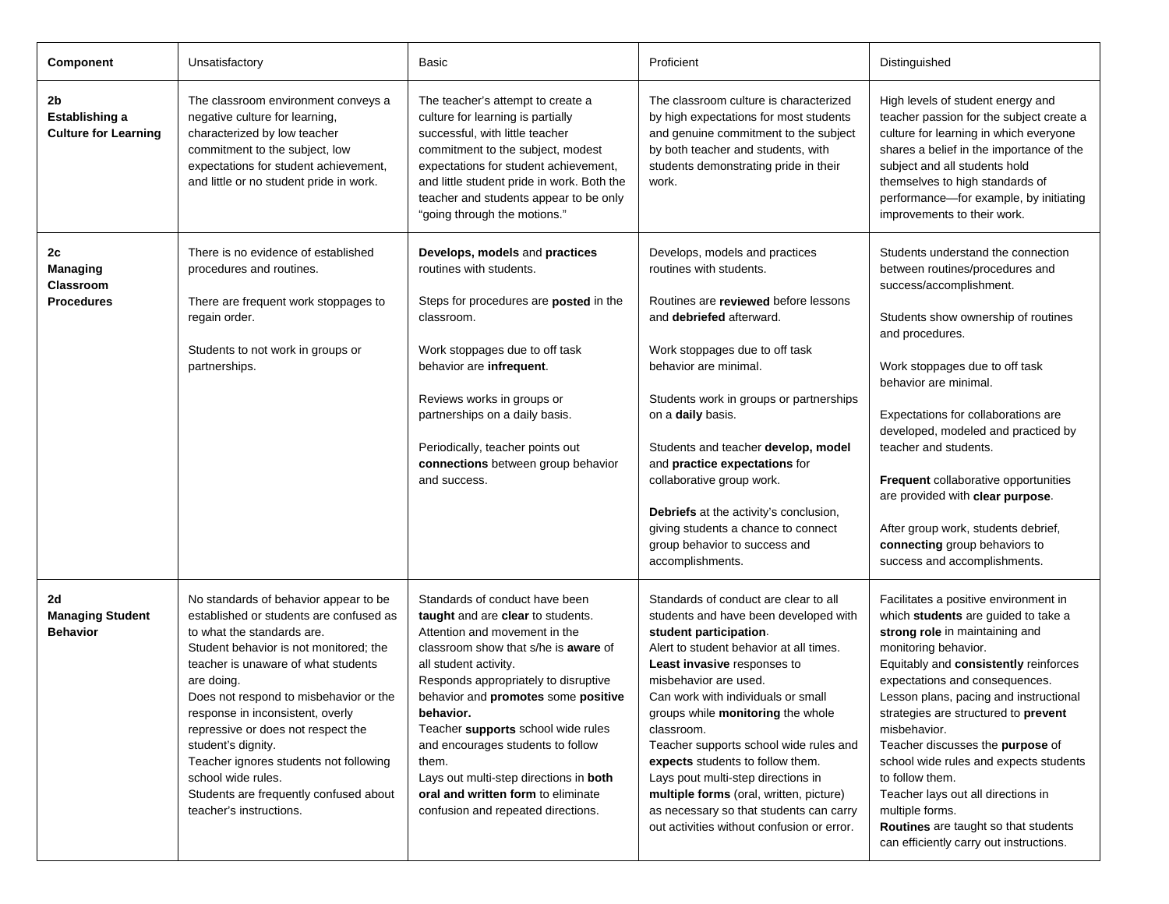| <b>Component</b>                                               | Unsatisfactory                                                                                                                                                                                                                                                                                                                                                                                                                                                                               | Basic                                                                                                                                                                                                                                                                                                                                                                                                                                                                                            | Proficient                                                                                                                                                                                                                                                                                                                                                                                                                                                                                                                                                          | Distinguished                                                                                                                                                                                                                                                                                                                                                                                                                                                                                                                                                    |
|----------------------------------------------------------------|----------------------------------------------------------------------------------------------------------------------------------------------------------------------------------------------------------------------------------------------------------------------------------------------------------------------------------------------------------------------------------------------------------------------------------------------------------------------------------------------|--------------------------------------------------------------------------------------------------------------------------------------------------------------------------------------------------------------------------------------------------------------------------------------------------------------------------------------------------------------------------------------------------------------------------------------------------------------------------------------------------|---------------------------------------------------------------------------------------------------------------------------------------------------------------------------------------------------------------------------------------------------------------------------------------------------------------------------------------------------------------------------------------------------------------------------------------------------------------------------------------------------------------------------------------------------------------------|------------------------------------------------------------------------------------------------------------------------------------------------------------------------------------------------------------------------------------------------------------------------------------------------------------------------------------------------------------------------------------------------------------------------------------------------------------------------------------------------------------------------------------------------------------------|
| 2b<br>Establishing a<br><b>Culture for Learning</b>            | The classroom environment conveys a<br>negative culture for learning,<br>characterized by low teacher<br>commitment to the subject, low<br>expectations for student achievement,<br>and little or no student pride in work.                                                                                                                                                                                                                                                                  | The teacher's attempt to create a<br>culture for learning is partially<br>successful, with little teacher<br>commitment to the subject, modest<br>expectations for student achievement,<br>and little student pride in work. Both the<br>teacher and students appear to be only<br>"going through the motions."                                                                                                                                                                                  | The classroom culture is characterized<br>by high expectations for most students<br>and genuine commitment to the subject<br>by both teacher and students, with<br>students demonstrating pride in their<br>work.                                                                                                                                                                                                                                                                                                                                                   | High levels of student energy and<br>teacher passion for the subject create a<br>culture for learning in which everyone<br>shares a belief in the importance of the<br>subject and all students hold<br>themselves to high standards of<br>performance-for example, by initiating<br>improvements to their work.                                                                                                                                                                                                                                                 |
| 2c<br><b>Managing</b><br><b>Classroom</b><br><b>Procedures</b> | There is no evidence of established<br>procedures and routines.<br>There are frequent work stoppages to<br>regain order.<br>Students to not work in groups or<br>partnerships.                                                                                                                                                                                                                                                                                                               | Develops, models and practices<br>routines with students.<br>Steps for procedures are <b>posted</b> in the<br>classroom.<br>Work stoppages due to off task<br>behavior are infrequent.<br>Reviews works in groups or<br>partnerships on a daily basis.<br>Periodically, teacher points out<br>connections between group behavior<br>and success.                                                                                                                                                 | Develops, models and practices<br>routines with students.<br>Routines are reviewed before lessons<br>and debriefed afterward.<br>Work stoppages due to off task<br>behavior are minimal.<br>Students work in groups or partnerships<br>on a <b>daily</b> basis.<br>Students and teacher develop, model<br>and practice expectations for<br>collaborative group work.<br><b>Debriefs</b> at the activity's conclusion,<br>giving students a chance to connect<br>group behavior to success and<br>accomplishments.                                                   | Students understand the connection<br>between routines/procedures and<br>success/accomplishment.<br>Students show ownership of routines<br>and procedures.<br>Work stoppages due to off task<br>behavior are minimal.<br>Expectations for collaborations are<br>developed, modeled and practiced by<br>teacher and students.<br>Frequent collaborative opportunities<br>are provided with clear purpose.<br>After group work, students debrief,<br>connecting group behaviors to<br>success and accomplishments.                                                 |
| 2d<br><b>Managing Student</b><br><b>Behavior</b>               | No standards of behavior appear to be<br>established or students are confused as<br>to what the standards are.<br>Student behavior is not monitored; the<br>teacher is unaware of what students<br>are doing.<br>Does not respond to misbehavior or the<br>response in inconsistent, overly<br>repressive or does not respect the<br>student's dignity.<br>Teacher ignores students not following<br>school wide rules.<br>Students are frequently confused about<br>teacher's instructions. | Standards of conduct have been<br>taught and are clear to students.<br>Attention and movement in the<br>classroom show that s/he is <b>aware</b> of<br>all student activity.<br>Responds appropriately to disruptive<br>behavior and <b>promotes</b> some <b>positive</b><br>behavior.<br>Teacher supports school wide rules<br>and encourages students to follow<br>them.<br>Lays out multi-step directions in both<br>oral and written form to eliminate<br>confusion and repeated directions. | Standards of conduct are clear to all<br>students and have been developed with<br>student participation.<br>Alert to student behavior at all times.<br><b>Least invasive responses to</b><br>misbehavior are used.<br>Can work with individuals or small<br>groups while monitoring the whole<br>classroom.<br>Teacher supports school wide rules and<br>expects students to follow them.<br>Lays pout multi-step directions in<br>multiple forms (oral, written, picture)<br>as necessary so that students can carry<br>out activities without confusion or error. | Facilitates a positive environment in<br>which students are guided to take a<br>strong role in maintaining and<br>monitoring behavior.<br>Equitably and consistently reinforces<br>expectations and consequences.<br>Lesson plans, pacing and instructional<br>strategies are structured to prevent<br>misbehavior.<br>Teacher discusses the purpose of<br>school wide rules and expects students<br>to follow them.<br>Teacher lays out all directions in<br>multiple forms.<br>Routines are taught so that students<br>can efficiently carry out instructions. |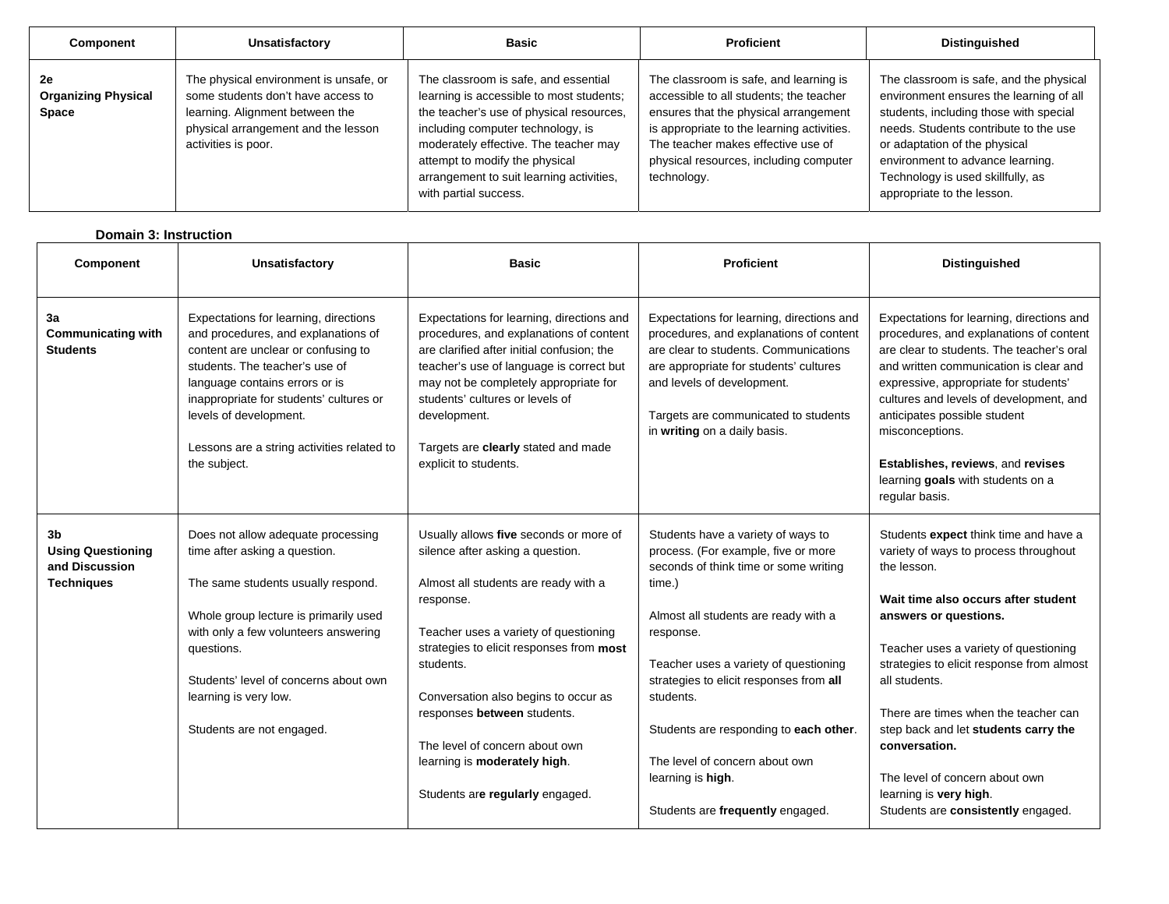| Component                                        | Unsatisfactory                                                                                                                                                                | <b>Basic</b>                                                                                                                                                                                                                                                                                                      | Proficient                                                                                                                                                                                                                                                              | <b>Distinguished</b>                                                                                                                                                                                                                                                                                          |
|--------------------------------------------------|-------------------------------------------------------------------------------------------------------------------------------------------------------------------------------|-------------------------------------------------------------------------------------------------------------------------------------------------------------------------------------------------------------------------------------------------------------------------------------------------------------------|-------------------------------------------------------------------------------------------------------------------------------------------------------------------------------------------------------------------------------------------------------------------------|---------------------------------------------------------------------------------------------------------------------------------------------------------------------------------------------------------------------------------------------------------------------------------------------------------------|
| 2e<br><b>Organizing Physical</b><br><b>Space</b> | The physical environment is unsafe, or<br>some students don't have access to<br>learning. Alignment between the<br>physical arrangement and the lesson<br>activities is poor. | The classroom is safe, and essential<br>learning is accessible to most students;<br>the teacher's use of physical resources,<br>including computer technology, is<br>moderately effective. The teacher may<br>attempt to modify the physical<br>arrangement to suit learning activities,<br>with partial success. | The classroom is safe, and learning is<br>accessible to all students; the teacher<br>ensures that the physical arrangement<br>is appropriate to the learning activities.<br>The teacher makes effective use of<br>physical resources, including computer<br>technology. | The classroom is safe, and the physical<br>environment ensures the learning of all<br>students, including those with special<br>needs. Students contribute to the use<br>or adaptation of the physical<br>environment to advance learning.<br>Technology is used skillfully, as<br>appropriate to the lesson. |

### **Domain 3: Instruction**

| <b>Component</b>                                                                  | Unsatisfactory                                                                                                                                                                                                                                                                                                             | <b>Basic</b>                                                                                                                                                                                                                                                                                                                                                                                                  | <b>Proficient</b>                                                                                                                                                                                                                                                                                                                                                                                                       | <b>Distinguished</b>                                                                                                                                                                                                                                                                                                                                                                                                                                                    |
|-----------------------------------------------------------------------------------|----------------------------------------------------------------------------------------------------------------------------------------------------------------------------------------------------------------------------------------------------------------------------------------------------------------------------|---------------------------------------------------------------------------------------------------------------------------------------------------------------------------------------------------------------------------------------------------------------------------------------------------------------------------------------------------------------------------------------------------------------|-------------------------------------------------------------------------------------------------------------------------------------------------------------------------------------------------------------------------------------------------------------------------------------------------------------------------------------------------------------------------------------------------------------------------|-------------------------------------------------------------------------------------------------------------------------------------------------------------------------------------------------------------------------------------------------------------------------------------------------------------------------------------------------------------------------------------------------------------------------------------------------------------------------|
| 3a<br><b>Communicating with</b><br><b>Students</b>                                | Expectations for learning, directions<br>and procedures, and explanations of<br>content are unclear or confusing to<br>students. The teacher's use of<br>language contains errors or is<br>inappropriate for students' cultures or<br>levels of development.<br>Lessons are a string activities related to<br>the subject. | Expectations for learning, directions and<br>procedures, and explanations of content<br>are clarified after initial confusion; the<br>teacher's use of language is correct but<br>may not be completely appropriate for<br>students' cultures or levels of<br>development.<br>Targets are clearly stated and made<br>explicit to students.                                                                    | Expectations for learning, directions and<br>procedures, and explanations of content<br>are clear to students. Communications<br>are appropriate for students' cultures<br>and levels of development.<br>Targets are communicated to students<br>in writing on a daily basis.                                                                                                                                           | Expectations for learning, directions and<br>procedures, and explanations of content<br>are clear to students. The teacher's oral<br>and written communication is clear and<br>expressive, appropriate for students'<br>cultures and levels of development, and<br>anticipates possible student<br>misconceptions.<br>Establishes, reviews, and revises<br>learning goals with students on a<br>regular basis.                                                          |
| 3 <sub>b</sub><br><b>Using Questioning</b><br>and Discussion<br><b>Techniques</b> | Does not allow adequate processing<br>time after asking a question.<br>The same students usually respond.<br>Whole group lecture is primarily used<br>with only a few volunteers answering<br>questions.<br>Students' level of concerns about own<br>learning is very low.<br>Students are not engaged.                    | Usually allows five seconds or more of<br>silence after asking a question.<br>Almost all students are ready with a<br>response.<br>Teacher uses a variety of questioning<br>strategies to elicit responses from most<br>students.<br>Conversation also begins to occur as<br>responses between students.<br>The level of concern about own<br>learning is moderately high.<br>Students are regularly engaged. | Students have a variety of ways to<br>process. (For example, five or more<br>seconds of think time or some writing<br>time.)<br>Almost all students are ready with a<br>response.<br>Teacher uses a variety of questioning<br>strategies to elicit responses from all<br>students.<br>Students are responding to each other.<br>The level of concern about own<br>learning is high.<br>Students are frequently engaged. | Students expect think time and have a<br>variety of ways to process throughout<br>the lesson.<br>Wait time also occurs after student<br>answers or questions.<br>Teacher uses a variety of questioning<br>strategies to elicit response from almost<br>all students.<br>There are times when the teacher can<br>step back and let students carry the<br>conversation.<br>The level of concern about own<br>learning is very high.<br>Students are consistently engaged. |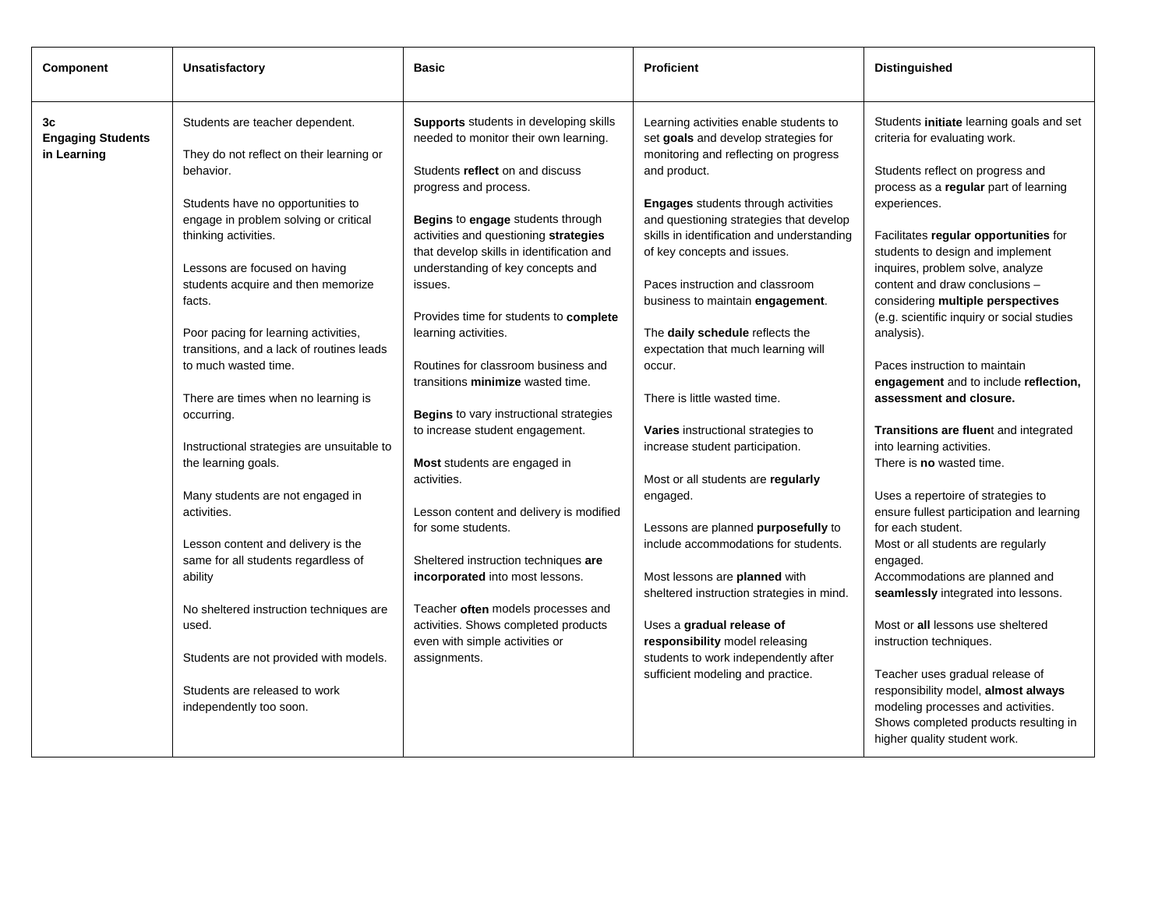| Students are teacher dependent.<br><b>Supports</b> students in developing skills<br>Learning activities enable students to<br>Students <b>initiate</b> learning goals and set<br>set goals and develop strategies for<br>needed to monitor their own learning.<br>criteria for evaluating work.<br>monitoring and reflecting on progress<br>They do not reflect on their learning or<br>Students reflect on and discuss<br>Students reflect on progress and<br>behavior.<br>and product.<br>process as a regular part of learning<br>progress and process.<br>Students have no opportunities to<br><b>Engages</b> students through activities<br>experiences.<br>engage in problem solving or critical<br>Begins to engage students through<br>and questioning strategies that develop<br>activities and questioning strategies<br>thinking activities.<br>skills in identification and understanding<br>Facilitates regular opportunities for<br>that develop skills in identification and<br>of key concepts and issues.<br>students to design and implement<br>understanding of key concepts and<br>inquires, problem solve, analyze<br>Lessons are focused on having<br>students acquire and then memorize<br>Paces instruction and classroom<br>content and draw conclusions -<br>issues.<br>considering multiple perspectives<br>facts.<br>business to maintain engagement.<br>Provides time for students to complete<br>(e.g. scientific inquiry or social studies<br>Poor pacing for learning activities,<br>The daily schedule reflects the<br>learning activities.<br>analysis).<br>transitions, and a lack of routines leads<br>expectation that much learning will<br>to much wasted time.<br>Routines for classroom business and<br>Paces instruction to maintain<br>occur.<br>transitions minimize wasted time.<br>engagement and to include reflection,<br>There are times when no learning is<br>There is little wasted time.<br>assessment and closure.<br>Begins to vary instructional strategies<br>occurring.<br>Varies instructional strategies to<br>Transitions are fluent and integrated<br>to increase student engagement.<br>Instructional strategies are unsuitable to<br>into learning activities.<br>increase student participation.<br>the learning goals.<br>Most students are engaged in<br>There is no wasted time.<br>activities.<br>Most or all students are regularly<br>Many students are not engaged in<br>Uses a repertoire of strategies to<br>engaged.<br>activities.<br>ensure fullest participation and learning<br>Lesson content and delivery is modified<br>Lessons are planned purposefully to<br>for some students.<br>for each student.<br>Lesson content and delivery is the<br>include accommodations for students.<br>Most or all students are regularly<br>same for all students regardless of<br>Sheltered instruction techniques are<br>engaged.<br>incorporated into most lessons.<br>Most lessons are planned with<br>Accommodations are planned and<br>ability<br>sheltered instruction strategies in mind.<br>seamlessly integrated into lessons.<br>Teacher often models processes and<br>No sheltered instruction techniques are<br>Uses a gradual release of<br>Most or all lessons use sheltered<br>activities. Shows completed products<br>used.<br>responsibility model releasing<br>even with simple activities or<br>instruction techniques.<br>Students are not provided with models.<br>students to work independently after<br>assignments.<br>sufficient modeling and practice.<br>Teacher uses gradual release of<br>responsibility model, almost always<br>Students are released to work<br>modeling processes and activities.<br>independently too soon.<br>Shows completed products resulting in<br>higher quality student work. | <b>Component</b>                              | Unsatisfactory | <b>Basic</b> | <b>Proficient</b> | <b>Distinguished</b> |
|-------------------------------------------------------------------------------------------------------------------------------------------------------------------------------------------------------------------------------------------------------------------------------------------------------------------------------------------------------------------------------------------------------------------------------------------------------------------------------------------------------------------------------------------------------------------------------------------------------------------------------------------------------------------------------------------------------------------------------------------------------------------------------------------------------------------------------------------------------------------------------------------------------------------------------------------------------------------------------------------------------------------------------------------------------------------------------------------------------------------------------------------------------------------------------------------------------------------------------------------------------------------------------------------------------------------------------------------------------------------------------------------------------------------------------------------------------------------------------------------------------------------------------------------------------------------------------------------------------------------------------------------------------------------------------------------------------------------------------------------------------------------------------------------------------------------------------------------------------------------------------------------------------------------------------------------------------------------------------------------------------------------------------------------------------------------------------------------------------------------------------------------------------------------------------------------------------------------------------------------------------------------------------------------------------------------------------------------------------------------------------------------------------------------------------------------------------------------------------------------------------------------------------------------------------------------------------------------------------------------------------------------------------------------------------------------------------------------------------------------------------------------------------------------------------------------------------------------------------------------------------------------------------------------------------------------------------------------------------------------------------------------------------------------------------------------------------------------------------------------------------------------------------------------------------------------------------------------------------------------------------------------------------------------------------------------------------------------------------------------------------------------------------------------------------------------------------------------------------------------------------------------------------------------------------------------------------------------------------------------------------------------------------------------------------------------------------------------------------------------------------------------------------------------------------------|-----------------------------------------------|----------------|--------------|-------------------|----------------------|
|                                                                                                                                                                                                                                                                                                                                                                                                                                                                                                                                                                                                                                                                                                                                                                                                                                                                                                                                                                                                                                                                                                                                                                                                                                                                                                                                                                                                                                                                                                                                                                                                                                                                                                                                                                                                                                                                                                                                                                                                                                                                                                                                                                                                                                                                                                                                                                                                                                                                                                                                                                                                                                                                                                                                                                                                                                                                                                                                                                                                                                                                                                                                                                                                                                                                                                                                                                                                                                                                                                                                                                                                                                                                                                                                                                                                             | 3c<br><b>Engaging Students</b><br>in Learning |                |              |                   |                      |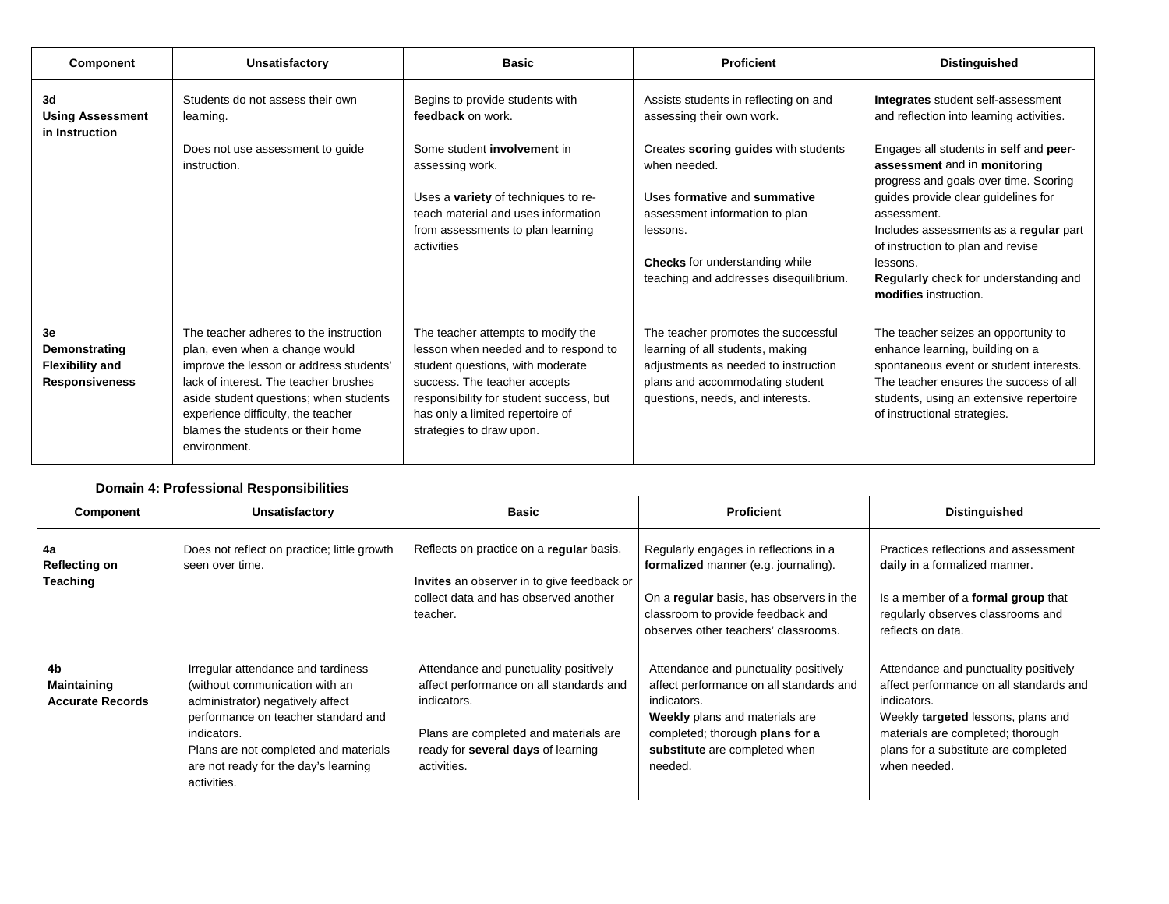| Component                                                              | Unsatisfactory                                                                                                                                                                                                                                                                                    | <b>Basic</b>                                                                                                                                                                                                                                              | <b>Proficient</b>                                                                                                                                                                                                     | Distinguished                                                                                                                                                                                                                                                                                                                      |
|------------------------------------------------------------------------|---------------------------------------------------------------------------------------------------------------------------------------------------------------------------------------------------------------------------------------------------------------------------------------------------|-----------------------------------------------------------------------------------------------------------------------------------------------------------------------------------------------------------------------------------------------------------|-----------------------------------------------------------------------------------------------------------------------------------------------------------------------------------------------------------------------|------------------------------------------------------------------------------------------------------------------------------------------------------------------------------------------------------------------------------------------------------------------------------------------------------------------------------------|
| 3d<br><b>Using Assessment</b><br>in Instruction                        | Students do not assess their own<br>learning.                                                                                                                                                                                                                                                     | Begins to provide students with<br>feedback on work.                                                                                                                                                                                                      | Assists students in reflecting on and<br>assessing their own work.                                                                                                                                                    | Integrates student self-assessment<br>and reflection into learning activities.                                                                                                                                                                                                                                                     |
|                                                                        | Does not use assessment to quide<br>instruction.                                                                                                                                                                                                                                                  | Some student <b>involvement</b> in<br>assessing work.<br>Uses a variety of techniques to re-<br>teach material and uses information<br>from assessments to plan learning<br>activities                                                                    | Creates scoring guides with students<br>when needed.<br>Uses formative and summative<br>assessment information to plan<br>lessons.<br><b>Checks</b> for understanding while<br>teaching and addresses disequilibrium. | Engages all students in self and peer-<br>assessment and in monitoring<br>progress and goals over time. Scoring<br>guides provide clear guidelines for<br>assessment.<br>Includes assessments as a regular part<br>of instruction to plan and revise<br>lessons.<br>Regularly check for understanding and<br>modifies instruction. |
| 3e<br>Demonstrating<br><b>Flexibility and</b><br><b>Responsiveness</b> | The teacher adheres to the instruction<br>plan, even when a change would<br>improve the lesson or address students'<br>lack of interest. The teacher brushes<br>aside student questions; when students<br>experience difficulty, the teacher<br>blames the students or their home<br>environment. | The teacher attempts to modify the<br>lesson when needed and to respond to<br>student questions, with moderate<br>success. The teacher accepts<br>responsibility for student success, but<br>has only a limited repertoire of<br>strategies to draw upon. | The teacher promotes the successful<br>learning of all students, making<br>adjustments as needed to instruction<br>plans and accommodating student<br>questions, needs, and interests.                                | The teacher seizes an opportunity to<br>enhance learning, building on a<br>spontaneous event or student interests.<br>The teacher ensures the success of all<br>students, using an extensive repertoire<br>of instructional strategies.                                                                                            |

# **Domain 4: Professional Responsibilities**

| Component                                    | Unsatisfactory                                                                                                                                                                                                                                                 | <b>Basic</b>                                                                                                                                                                                  | <b>Proficient</b>                                                                                                                                                                                                       | <b>Distinguished</b>                                                                                                                                                                                                               |
|----------------------------------------------|----------------------------------------------------------------------------------------------------------------------------------------------------------------------------------------------------------------------------------------------------------------|-----------------------------------------------------------------------------------------------------------------------------------------------------------------------------------------------|-------------------------------------------------------------------------------------------------------------------------------------------------------------------------------------------------------------------------|------------------------------------------------------------------------------------------------------------------------------------------------------------------------------------------------------------------------------------|
| 4a<br><b>Reflecting on</b><br>Teaching       | Does not reflect on practice; little growth<br>seen over time.                                                                                                                                                                                                 | Reflects on practice on a regular basis.<br>Invites an observer in to give feedback or<br>collect data and has observed another<br>teacher.                                                   | Regularly engages in reflections in a<br>formalized manner (e.g. journaling).<br>On a regular basis, has observers in the<br>classroom to provide feedback and<br>observes other teachers' classrooms.                  | Practices reflections and assessment<br>daily in a formalized manner.<br>Is a member of a <b>formal group</b> that<br>regularly observes classrooms and<br>reflects on data.                                                       |
| 4b<br>Maintaining<br><b>Accurate Records</b> | Irregular attendance and tardiness<br>(without communication with an<br>administrator) negatively affect<br>performance on teacher standard and<br>indicators.<br>Plans are not completed and materials<br>are not ready for the day's learning<br>activities. | Attendance and punctuality positively<br>affect performance on all standards and<br>indicators.<br>Plans are completed and materials are<br>ready for several days of learning<br>activities. | Attendance and punctuality positively<br>affect performance on all standards and<br>indicators.<br><b>Weekly</b> plans and materials are<br>completed; thorough plans for a<br>substitute are completed when<br>needed. | Attendance and punctuality positively<br>affect performance on all standards and<br>indicators.<br>Weekly targeted lessons, plans and<br>materials are completed; thorough<br>plans for a substitute are completed<br>when needed. |